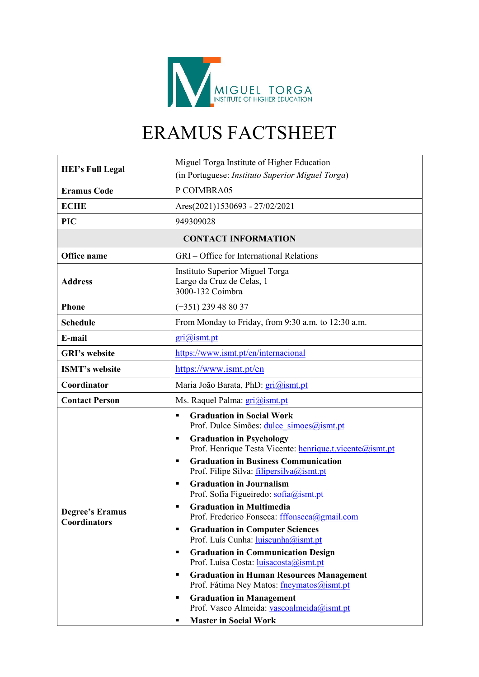

## ERAMUS FACTSHEET

| <b>HEI's Full Legal</b>                | Miguel Torga Institute of Higher Education                                                                                                          |  |  |  |  |
|----------------------------------------|-----------------------------------------------------------------------------------------------------------------------------------------------------|--|--|--|--|
|                                        | (in Portuguese: Instituto Superior Miguel Torga)                                                                                                    |  |  |  |  |
| <b>Eramus Code</b>                     | P COIMBRA05                                                                                                                                         |  |  |  |  |
| <b>ECHE</b>                            | Ares(2021)1530693 - 27/02/2021                                                                                                                      |  |  |  |  |
| <b>PIC</b>                             | 949309028                                                                                                                                           |  |  |  |  |
| <b>CONTACT INFORMATION</b>             |                                                                                                                                                     |  |  |  |  |
| Office name                            | GRI – Office for International Relations                                                                                                            |  |  |  |  |
| <b>Address</b>                         | Instituto Superior Miguel Torga<br>Largo da Cruz de Celas, 1<br>3000-132 Coimbra                                                                    |  |  |  |  |
| <b>Phone</b>                           | $(+351)$ 239 48 80 37                                                                                                                               |  |  |  |  |
| <b>Schedule</b>                        | From Monday to Friday, from 9:30 a.m. to 12:30 a.m.                                                                                                 |  |  |  |  |
| E-mail                                 | $\overline{gri}$ <i>(a)</i> ismt.pt                                                                                                                 |  |  |  |  |
| <b>GRI's website</b>                   | https://www.ismt.pt/en/internacional                                                                                                                |  |  |  |  |
| <b>ISMT's website</b>                  | https://www.ismt.pt/en                                                                                                                              |  |  |  |  |
| Coordinator                            | Maria João Barata, PhD: gri@ismt.pt                                                                                                                 |  |  |  |  |
| <b>Contact Person</b>                  | Ms. Raquel Palma: gri@ismt.pt                                                                                                                       |  |  |  |  |
|                                        | <b>Graduation in Social Work</b><br>$\blacksquare$<br>Prof. Dulce Simões: dulce simoes@ismt.pt<br><b>Graduation in Psychology</b><br>$\blacksquare$ |  |  |  |  |
|                                        | Prof. Henrique Testa Vicente: henrique.t.vicente@ismt.pt<br><b>Graduation in Business Communication</b>                                             |  |  |  |  |
| <b>Degree's Eramus</b><br>Coordinators | $\blacksquare$<br>Prof. Filipe Silva: filipersilva@ismt.pt                                                                                          |  |  |  |  |
|                                        | <b>Graduation in Journalism</b><br>$\blacksquare$<br>Prof. Sofia Figueiredo: sofia@ismt.pt                                                          |  |  |  |  |
|                                        | <b>Graduation in Multimedia</b><br>٠<br>Prof. Frederico Fonseca: fffonseca@gmail.com                                                                |  |  |  |  |
|                                        | <b>Graduation in Computer Sciences</b><br>$\blacksquare$<br>Prof. Luís Cunha: luiscunha@ismt.pt                                                     |  |  |  |  |
|                                        | <b>Graduation in Communication Design</b><br>$\blacksquare$<br>Prof. Luísa Costa: luisacosta@ismt.pt                                                |  |  |  |  |
|                                        | <b>Graduation in Human Resources Management</b><br>$\blacksquare$<br>Prof. Fátima Ney Matos: fneymatos@ismt.pt                                      |  |  |  |  |
|                                        | <b>Graduation in Management</b><br>$\blacksquare$<br>Prof. Vasco Almeida: vascoalmeida@ismt.pt                                                      |  |  |  |  |
|                                        | <b>Master in Social Work</b><br>п                                                                                                                   |  |  |  |  |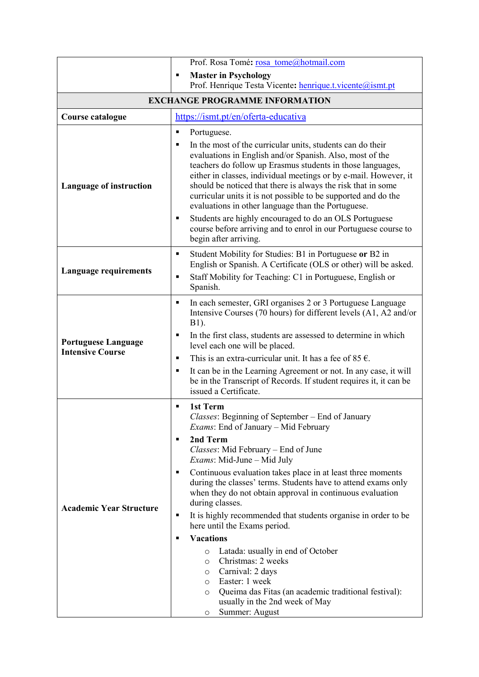|                                                       | Prof. Rosa Tomé: rosa tome@hotmail.com                                                                                                                                                                                                                                                                                                                                                                                                                                                                                                                                                                                                                                                                                                                                                                                                                                  |  |  |  |  |
|-------------------------------------------------------|-------------------------------------------------------------------------------------------------------------------------------------------------------------------------------------------------------------------------------------------------------------------------------------------------------------------------------------------------------------------------------------------------------------------------------------------------------------------------------------------------------------------------------------------------------------------------------------------------------------------------------------------------------------------------------------------------------------------------------------------------------------------------------------------------------------------------------------------------------------------------|--|--|--|--|
|                                                       | <b>Master in Psychology</b><br>٠<br>Prof. Henrique Testa Vicente: henrique.t.vicente@ismt.pt                                                                                                                                                                                                                                                                                                                                                                                                                                                                                                                                                                                                                                                                                                                                                                            |  |  |  |  |
| <b>EXCHANGE PROGRAMME INFORMATION</b>                 |                                                                                                                                                                                                                                                                                                                                                                                                                                                                                                                                                                                                                                                                                                                                                                                                                                                                         |  |  |  |  |
| Course catalogue                                      | https://ismt.pt/en/oferta-educativa                                                                                                                                                                                                                                                                                                                                                                                                                                                                                                                                                                                                                                                                                                                                                                                                                                     |  |  |  |  |
| <b>Language of instruction</b>                        | Portuguese.<br>٠<br>In the most of the curricular units, students can do their<br>$\blacksquare$<br>evaluations in English and/or Spanish. Also, most of the<br>teachers do follow up Erasmus students in those languages,<br>either in classes, individual meetings or by e-mail. However, it<br>should be noticed that there is always the risk that in some<br>curricular units it is not possible to be supported and do the<br>evaluations in other language than the Portuguese.<br>Students are highly encouraged to do an OLS Portuguese<br>٠<br>course before arriving and to enrol in our Portuguese course to                                                                                                                                                                                                                                                |  |  |  |  |
| <b>Language requirements</b>                          | begin after arriving.<br>Student Mobility for Studies: B1 in Portuguese or B2 in<br>٠<br>English or Spanish. A Certificate (OLS or other) will be asked.<br>Staff Mobility for Teaching: C1 in Portuguese, English or<br>П<br>Spanish.                                                                                                                                                                                                                                                                                                                                                                                                                                                                                                                                                                                                                                  |  |  |  |  |
| <b>Portuguese Language</b><br><b>Intensive Course</b> | In each semester, GRI organises 2 or 3 Portuguese Language<br>$\blacksquare$<br>Intensive Courses (70 hours) for different levels (A1, A2 and/or<br>B1).<br>In the first class, students are assessed to determine in which<br>п<br>level each one will be placed.<br>This is an extra-curricular unit. It has a fee of 85 $\epsilon$ .<br>$\blacksquare$<br>It can be in the Learning Agreement or not. In any case, it will<br>$\blacksquare$<br>be in the Transcript of Records. If student requires it, it can be<br>issued a Certificate.                                                                                                                                                                                                                                                                                                                          |  |  |  |  |
| <b>Academic Year Structure</b>                        | 1st Term<br>$\blacksquare$<br>Classes: Beginning of September - End of January<br><i>Exams:</i> End of January – Mid February<br>2nd Term<br>$\blacksquare$<br>Classes: Mid February - End of June<br><i>Exams</i> : Mid-June – Mid July<br>Continuous evaluation takes place in at least three moments<br>п<br>during the classes' terms. Students have to attend exams only<br>when they do not obtain approval in continuous evaluation<br>during classes.<br>It is highly recommended that students organise in order to be<br>٠<br>here until the Exams period.<br><b>Vacations</b><br>$\blacksquare$<br>Latada: usually in end of October<br>$\circ$<br>Christmas: 2 weeks<br>O<br>Carnival: 2 days<br>O<br>Easter: 1 week<br>O<br>Queima das Fitas (an academic traditional festival):<br>$\circ$<br>usually in the 2nd week of May<br>Summer: August<br>$\circ$ |  |  |  |  |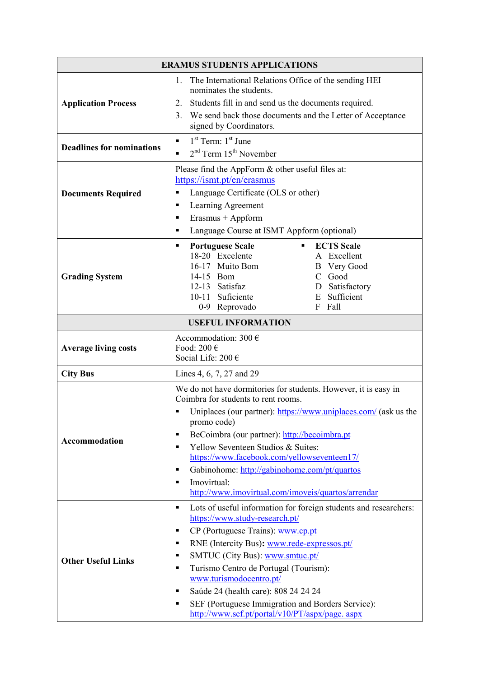| <b>ERAMUS STUDENTS APPLICATIONS</b> |                                                                                                                                                                                                                                                                                                                                                                                                                                                                                                                                                   |  |  |  |
|-------------------------------------|---------------------------------------------------------------------------------------------------------------------------------------------------------------------------------------------------------------------------------------------------------------------------------------------------------------------------------------------------------------------------------------------------------------------------------------------------------------------------------------------------------------------------------------------------|--|--|--|
| <b>Application Process</b>          | The International Relations Office of the sending HEI<br>1.<br>nominates the students.<br>Students fill in and send us the documents required.<br>2.<br>3.<br>We send back those documents and the Letter of Acceptance<br>signed by Coordinators.                                                                                                                                                                                                                                                                                                |  |  |  |
| <b>Deadlines for nominations</b>    | $1st$ Term: $1st$ June<br>$\blacksquare$<br>$2nd$ Term $15th$ November<br>$\blacksquare$                                                                                                                                                                                                                                                                                                                                                                                                                                                          |  |  |  |
| <b>Documents Required</b>           | Please find the AppForm & other useful files at:<br>https://ismt.pt/en/erasmus<br>Language Certificate (OLS or other)<br>П<br>Learning Agreement<br>п<br>Erasmus + Appform<br>п<br>Language Course at ISMT Appform (optional)<br>$\blacksquare$                                                                                                                                                                                                                                                                                                   |  |  |  |
| <b>Grading System</b>               | <b>ECTS</b> Scale<br><b>Portuguese Scale</b><br>٠<br>18-20 Excelente<br>A Excellent<br>16-17 Muito Bom<br><b>B</b> Very Good<br>C Good<br>14-15 Bom<br>12-13 Satisfaz<br>D Satisfactory<br>E Sufficient<br>10-11 Suficiente<br>0-9 Reprovado<br>F Fall                                                                                                                                                                                                                                                                                            |  |  |  |
|                                     | <b>USEFUL INFORMATION</b>                                                                                                                                                                                                                                                                                                                                                                                                                                                                                                                         |  |  |  |
| <b>Average living costs</b>         | Accommodation: 300 $\epsilon$<br>Food: 200 $\in$<br>Social Life: 200 €                                                                                                                                                                                                                                                                                                                                                                                                                                                                            |  |  |  |
| <b>City Bus</b>                     | Lines 4, 6, 7, 27 and 29                                                                                                                                                                                                                                                                                                                                                                                                                                                                                                                          |  |  |  |
| Accommodation                       | We do not have dormitories for students. However, it is easy in<br>Coimbra for students to rent rooms.<br>Uniplaces (our partner): https://www.uniplaces.com/ (ask us the<br>promo code)<br>BeCoimbra (our partner): http://becoimbra.pt<br>п<br>Yellow Seventeen Studios & Suites:<br>$\blacksquare$<br>https://www.facebook.com/yellowseventeen17/<br>Gabinohome: http://gabinohome.com/pt/quartos<br>$\blacksquare$<br>Imovirtual:<br>п<br>http://www.imovirtual.com/imoveis/quartos/arrendar                                                  |  |  |  |
| <b>Other Useful Links</b>           | Lots of useful information for foreign students and researchers:<br>$\blacksquare$<br>https://www.study-research.pt/<br>CP (Portuguese Trains): www.cp.pt<br>п<br>RNE (Intercity Bus): www.rede-expressos.pt/<br>$\blacksquare$<br>SMTUC (City Bus): www.smtuc.pt/<br>٠<br>Turismo Centro de Portugal (Tourism):<br>$\blacksquare$<br>www.turismodocentro.pt/<br>Saúde 24 (health care): 808 24 24 24<br>$\blacksquare$<br>SEF (Portuguese Immigration and Borders Service):<br>$\blacksquare$<br>http://www.sef.pt/portal/v10/PT/aspx/page. aspx |  |  |  |